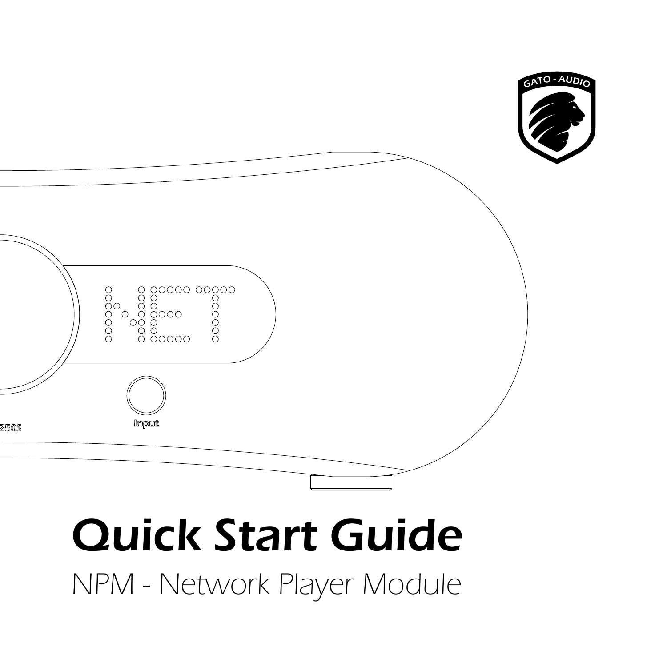

# Quick Start Guide

NPM - Network Player Module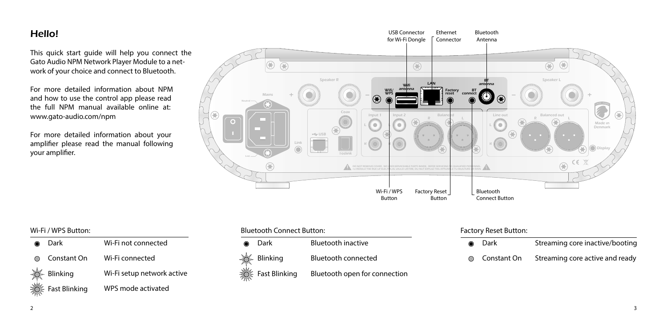## Hello!

This quick start guide will help you connect the Gato Audio NPM Network Player Module to a network of your choice and connect to Bluetooth.

For more detailed information about NPM and how to use the control app please read the full NPM manual available online at: www.gato-audio.com/npm

For more detailed information about your amplifier please read the manual following your amplifier.



| ◉ | Dark          | Wi-Fi not connected        |
|---|---------------|----------------------------|
|   | ◯ Constant On | Wi-Fi connected            |
|   | -O- Blinking  | Wi-Fi setup network active |
|   | Fast Blinking | WPS mode activated         |

## Wi-Fi / WPS Button: The Sutton: Factory Reset Button: Buttooth Connect Button: Factory Reset Button: Factory Reset Button:

Dark Bluetooth inactive  $\bullet$ Blinking Bluetooth connected  $\circ$  $\geq$ Fast Blinking Bluetooth open for connection

| ● Dark               | Streaming core inactive/booting |
|----------------------|---------------------------------|
| <b>◎</b> Constant On | Streaming core active and ready |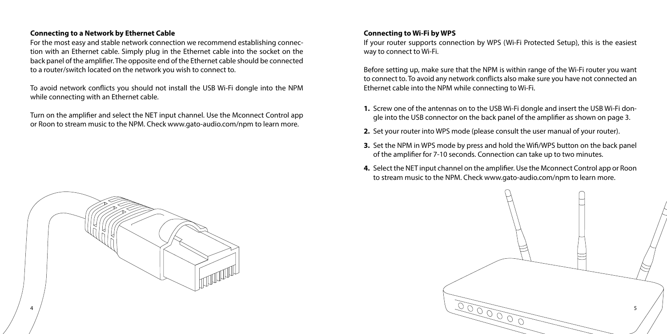#### **Connecting to a Network by Ethernet Cable**

For the most easy and stable network connection we recommend establishing connection with an Ethernet cable. Simply plug in the Ethernet cable into the socket on the back panel of the amplifier. The opposite end of the Ethernet cable should be connected to a router/switch located on the network you wish to connect to.

To avoid network conflicts you should not install the USB Wi-Fi dongle into the NPM while connecting with an Ethernet cable.

Turn on the amplifier and select the NET input channel. Use the Mconnect Control app or Roon to stream music to the NPM. Check www.gato-audio.com/npm to learn more.



#### **Connecting to Wi-Fi by WPS**

If your router supports connection by WPS (Wi-Fi Protected Setup), this is the easiest way to connect to Wi-Fi.

Before setting up, make sure that the NPM is within range of the Wi-Fi router you want to connect to. To avoid any network conflicts also make sure you have not connected an Ethernet cable into the NPM while connecting to Wi-Fi.

- **1.** Screw one of the antennas on to the USB Wi-Fi dongle and insert the USB Wi-Fi dongle into the USB connector on the back panel of the amplifier as shown on page 3.
- **2.** Set your router into WPS mode (please consult the user manual of your router).
- **3.** Set the NPM in WPS mode by press and hold the Wifi/WPS button on the back panel of the amplifier for 7-10 seconds. Connection can take up to two minutes.
- **4.** Select the NET input channel on the amplifier. Use the Mconnect Control app or Roon to stream music to the NPM. Check www.gato-audio.com/npm to learn more.

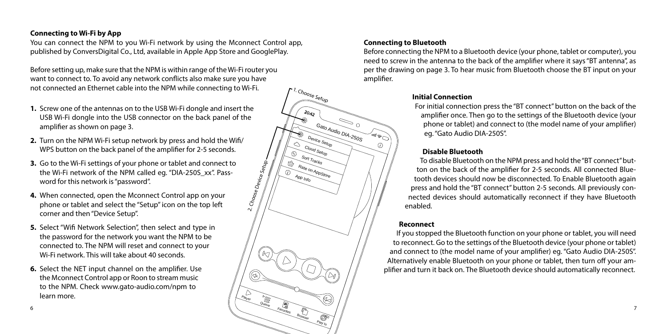#### **Connecting to Wi-Fi by App**

You can connect the NPM to you Wi-Fi network by using the Mconnect Control app, published by ConversDigital Co., Ltd, available in Apple App Store and GooglePlay.

Before setting up, make sure that the NPM is within range of the Wi-Fi router you want to connect to. To avoid any network conflicts also make sure you have not connected an Ethernet cable into the NPM while connecting to Wi-Fi.

- **1.** Screw one of the antennas on to the USB Wi-Fi dongle and insert the USB Wi-Fi dongle into the USB connector on the back panel of the amplifier as shown on page 3.
- **2.** Turn on the NPM Wi-Fi setup network by press and hold the Wifi/ WPS button on the back panel of the amplifier for 2-5 seconds.
- **3.** Go to the Wi-Fi settings of your phone or tablet and connect to the Wi-Fi network of the NPM called eg. "DIA-250S\_xx". Password for this network is "password".
- **4.** When connected, open the Mconnect Control app on your phone or tablet and select the "Setup" icon on the top left corner and then "Device Setup".
- **5.** Select "Wifi Network Selection", then select and type in the password for the network you want the NPM to be connected to. The NPM will reset and connect to your Wi-Fi network. This will take about 40 seconds.
- **6.** Select the NET input channel on the amplifier. Use the Mconnect Control app or Roon to stream music to the NPM. Check www.gato-audio.com/npm to learn more.



#### **Connecting to Bluetooth**

Before connecting the NPM to a Bluetooth device (your phone, tablet or computer), you need to screw in the antenna to the back of the amplifier where it says "BT antenna", as per the drawing on page 3. To hear music from Bluetooth choose the BT input on your amplifier.

#### **Initial Connection**

For initial connection press the "BT connect" button on the back of the amplifier once. Then go to the settings of the Bluetooth device (your phone or tablet) and connect to (the model name of your amplifier) eg. "Gato Audio DIA-250S".

### **Disable Bluetooth**

To disable Bluetooth on the NPM press and hold the "BT connect" button on the back of the amplifier for 2-5 seconds. All connected Bluetooth devices should now be disconnected. To Enable Bluetooth again press and hold the "BT connect" button 2-5 seconds. All previously connected devices should automatically reconnect if they have Bluetooth enabled.

#### **Reconnect**

If you stopped the Bluetooth function on your phone or tablet, you will need to reconnect. Go to the settings of the Bluetooth device (your phone or tablet) and connect to (the model name of your amplifier) eg. "Gato Audio DIA-250S". Alternatively enable Bluetooth on your phone or tablet, then turn off your amplifier and turn it back on. The Bluetooth device should automatically reconnect.